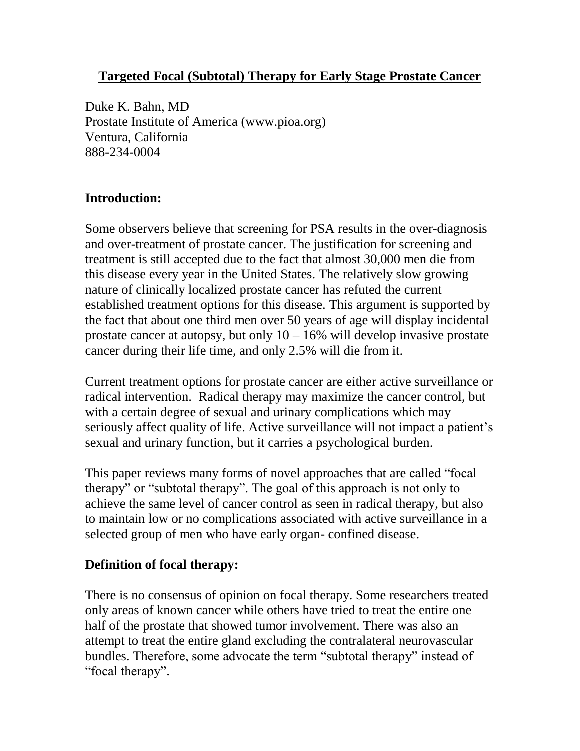### **Targeted Focal (Subtotal) Therapy for Early Stage Prostate Cancer**

Duke K. Bahn, MD Prostate Institute of America (www.pioa.org) Ventura, California 888-234-0004

### **Introduction:**

Some observers believe that screening for PSA results in the over-diagnosis and over-treatment of prostate cancer. The justification for screening and treatment is still accepted due to the fact that almost 30,000 men die from this disease every year in the United States. The relatively slow growing nature of clinically localized prostate cancer has refuted the current established treatment options for this disease. This argument is supported by the fact that about one third men over 50 years of age will display incidental prostate cancer at autopsy, but only  $10 - 16\%$  will develop invasive prostate cancer during their life time, and only 2.5% will die from it.

Current treatment options for prostate cancer are either active surveillance or radical intervention. Radical therapy may maximize the cancer control, but with a certain degree of sexual and urinary complications which may seriously affect quality of life. Active surveillance will not impact a patient's sexual and urinary function, but it carries a psychological burden.

This paper reviews many forms of novel approaches that are called "focal therapy" or "subtotal therapy". The goal of this approach is not only to achieve the same level of cancer control as seen in radical therapy, but also to maintain low or no complications associated with active surveillance in a selected group of men who have early organ- confined disease.

#### **Definition of focal therapy:**

There is no consensus of opinion on focal therapy. Some researchers treated only areas of known cancer while others have tried to treat the entire one half of the prostate that showed tumor involvement. There was also an attempt to treat the entire gland excluding the contralateral neurovascular bundles. Therefore, some advocate the term "subtotal therapy" instead of "focal therapy".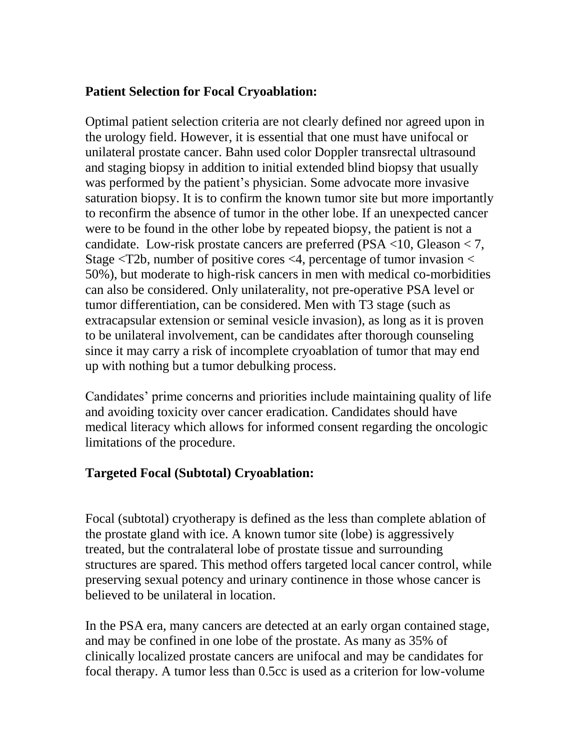### **Patient Selection for Focal Cryoablation:**

Optimal patient selection criteria are not clearly defined nor agreed upon in the urology field. However, it is essential that one must have unifocal or unilateral prostate cancer. Bahn used color Doppler transrectal ultrasound and staging biopsy in addition to initial extended blind biopsy that usually was performed by the patient's physician. Some advocate more invasive saturation biopsy. It is to confirm the known tumor site but more importantly to reconfirm the absence of tumor in the other lobe. If an unexpected cancer were to be found in the other lobe by repeated biopsy, the patient is not a candidate. Low-risk prostate cancers are preferred (PSA  $\langle$ 10, Gleason  $\langle$  7, Stage <T2b, number of positive cores <4, percentage of tumor invasion < 50%), but moderate to high-risk cancers in men with medical co-morbidities can also be considered. Only unilaterality, not pre-operative PSA level or tumor differentiation, can be considered. Men with T3 stage (such as extracapsular extension or seminal vesicle invasion), as long as it is proven to be unilateral involvement, can be candidates after thorough counseling since it may carry a risk of incomplete cryoablation of tumor that may end up with nothing but a tumor debulking process.

Candidates' prime concerns and priorities include maintaining quality of life and avoiding toxicity over cancer eradication. Candidates should have medical literacy which allows for informed consent regarding the oncologic limitations of the procedure.

## **Targeted Focal (Subtotal) Cryoablation:**

Focal (subtotal) cryotherapy is defined as the less than complete ablation of the prostate gland with ice. A known tumor site (lobe) is aggressively treated, but the contralateral lobe of prostate tissue and surrounding structures are spared. This method offers targeted local cancer control, while preserving sexual potency and urinary continence in those whose cancer is believed to be unilateral in location.

In the PSA era, many cancers are detected at an early organ contained stage, and may be confined in one lobe of the prostate. As many as 35% of clinically localized prostate cancers are unifocal and may be candidates for focal therapy. A tumor less than 0.5cc is used as a criterion for low-volume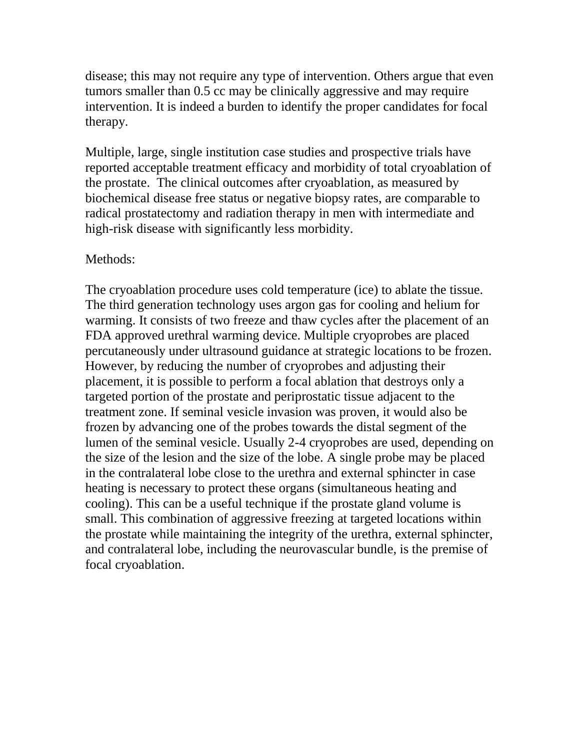disease; this may not require any type of intervention. Others argue that even tumors smaller than 0.5 cc may be clinically aggressive and may require intervention. It is indeed a burden to identify the proper candidates for focal therapy.

Multiple, large, single institution case studies and prospective trials have reported acceptable treatment efficacy and morbidity of total cryoablation of the prostate. The clinical outcomes after cryoablation, as measured by biochemical disease free status or negative biopsy rates, are comparable to radical prostatectomy and radiation therapy in men with intermediate and high-risk disease with significantly less morbidity.

#### Methods:

The cryoablation procedure uses cold temperature (ice) to ablate the tissue. The third generation technology uses argon gas for cooling and helium for warming. It consists of two freeze and thaw cycles after the placement of an FDA approved urethral warming device. Multiple cryoprobes are placed percutaneously under ultrasound guidance at strategic locations to be frozen. However, by reducing the number of cryoprobes and adjusting their placement, it is possible to perform a focal ablation that destroys only a targeted portion of the prostate and periprostatic tissue adjacent to the treatment zone. If seminal vesicle invasion was proven, it would also be frozen by advancing one of the probes towards the distal segment of the lumen of the seminal vesicle. Usually 2-4 cryoprobes are used, depending on the size of the lesion and the size of the lobe. A single probe may be placed in the contralateral lobe close to the urethra and external sphincter in case heating is necessary to protect these organs (simultaneous heating and cooling). This can be a useful technique if the prostate gland volume is small. This combination of aggressive freezing at targeted locations within the prostate while maintaining the integrity of the urethra, external sphincter, and contralateral lobe, including the neurovascular bundle, is the premise of focal cryoablation.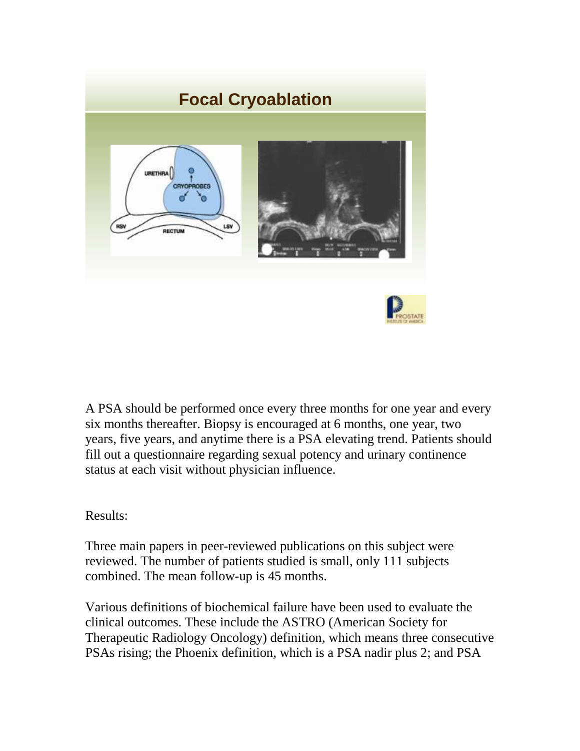

A PSA should be performed once every three months for one year and every six months thereafter. Biopsy is encouraged at 6 months, one year, two years, five years, and anytime there is a PSA elevating trend. Patients should fill out a questionnaire regarding sexual potency and urinary continence status at each visit without physician influence.

#### Results:

Three main papers in peer-reviewed publications on this subject were reviewed. The number of patients studied is small, only 111 subjects combined. The mean follow-up is 45 months.

Various definitions of biochemical failure have been used to evaluate the clinical outcomes. These include the ASTRO (American Society for Therapeutic Radiology Oncology) definition, which means three consecutive PSAs rising; the Phoenix definition, which is a PSA nadir plus 2; and PSA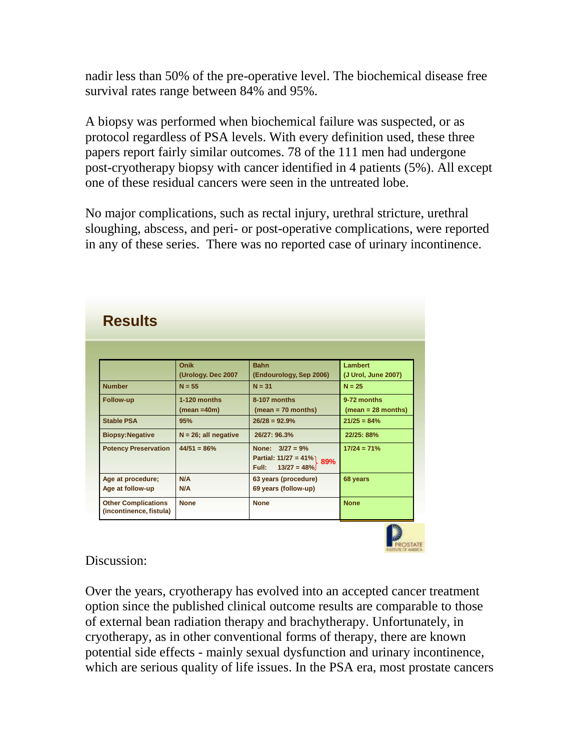nadir less than 50% of the pre-operative level. The biochemical disease free survival rates range between 84% and 95%.

A biopsy was performed when biochemical failure was suspected, or as protocol regardless of PSA levels. With every definition used, these three papers report fairly similar outcomes. 78 of the 111 men had undergone post-cryotherapy biopsy with cancer identified in 4 patients (5%). All except one of these residual cancers were seen in the untreated lobe.

No major complications, such as rectal injury, urethral stricture, urethral sloughing, abscess, and peri- or post-operative complications, were reported in any of these series. There was no reported case of urinary incontinence.

| Onik                        | <b>Bahn</b>             | <b>Lambert</b>              |
|-----------------------------|-------------------------|-----------------------------|
| (Urology. Dec 2007          | (Endourology, Sep 2006) | (J Urol, June 2007)         |
| $N = 55$                    | $N = 31$                | $N = 25$                    |
| $1-120$ months<br>Follow-up | 8-107 months            | 9-72 months                 |
| $(mean = 40m)$              | $(mean = 70 months)$    | $(mean = 28 months)$        |
| 95%                         | $26/28 = 92.9%$         | $21/25 = 84%$               |
| $N = 26$ ; all negative     | 26/27:96.3%             | 22/25: 88%                  |
| $44/51 = 86%$               | None: $3/27 = 9%$       | $17/24 = 71%$               |
|                             |                         |                             |
|                             | Full:<br>$13/27 = 48%$  |                             |
| N/A                         | 63 years (procedure)    | 68 years                    |
| N/A                         | 69 years (follow-up)    |                             |
| <b>None</b>                 | <b>None</b>             | <b>None</b>                 |
|                             |                         | Partial: $11/27 = 41\%$ 89% |



Discussion:

Over the years, cryotherapy has evolved into an accepted cancer treatment option since the published clinical outcome results are comparable to those of external bean radiation therapy and brachytherapy. Unfortunately, in cryotherapy, as in other conventional forms of therapy, there are known potential side effects - mainly sexual dysfunction and urinary incontinence, which are serious quality of life issues. In the PSA era, most prostate cancers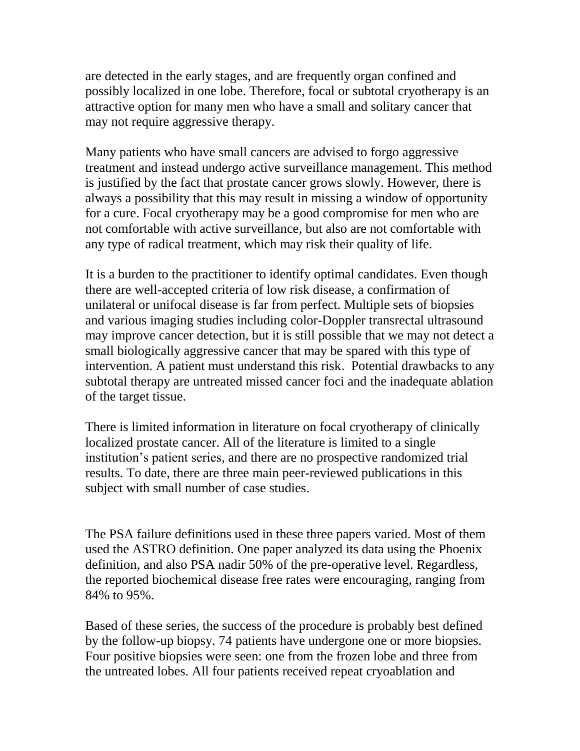are detected in the early stages, and are frequently organ confined and possibly localized in one lobe. Therefore, focal or subtotal cryotherapy is an attractive option for many men who have a small and solitary cancer that may not require aggressive therapy.

Many patients who have small cancers are advised to forgo aggressive treatment and instead undergo active surveillance management. This method is justified by the fact that prostate cancer grows slowly. However, there is always a possibility that this may result in missing a window of opportunity for a cure. Focal cryotherapy may be a good compromise for men who are not comfortable with active surveillance, but also are not comfortable with any type of radical treatment, which may risk their quality of life.

It is a burden to the practitioner to identify optimal candidates. Even though there are well-accepted criteria of low risk disease, a confirmation of unilateral or unifocal disease is far from perfect. Multiple sets of biopsies and various imaging studies including color-Doppler transrectal ultrasound may improve cancer detection, but it is still possible that we may not detect a small biologically aggressive cancer that may be spared with this type of intervention. A patient must understand this risk. Potential drawbacks to any subtotal therapy are untreated missed cancer foci and the inadequate ablation of the target tissue.

There is limited information in literature on focal cryotherapy of clinically localized prostate cancer. All of the literature is limited to a single institution's patient series, and there are no prospective randomized trial results. To date, there are three main peer-reviewed publications in this subject with small number of case studies.

The PSA failure definitions used in these three papers varied. Most of them used the ASTRO definition. One paper analyzed its data using the Phoenix definition, and also PSA nadir 50% of the pre-operative level. Regardless, the reported biochemical disease free rates were encouraging, ranging from 84% to 95%.

Based of these series, the success of the procedure is probably best defined by the follow-up biopsy. 74 patients have undergone one or more biopsies. Four positive biopsies were seen: one from the frozen lobe and three from the untreated lobes. All four patients received repeat cryoablation and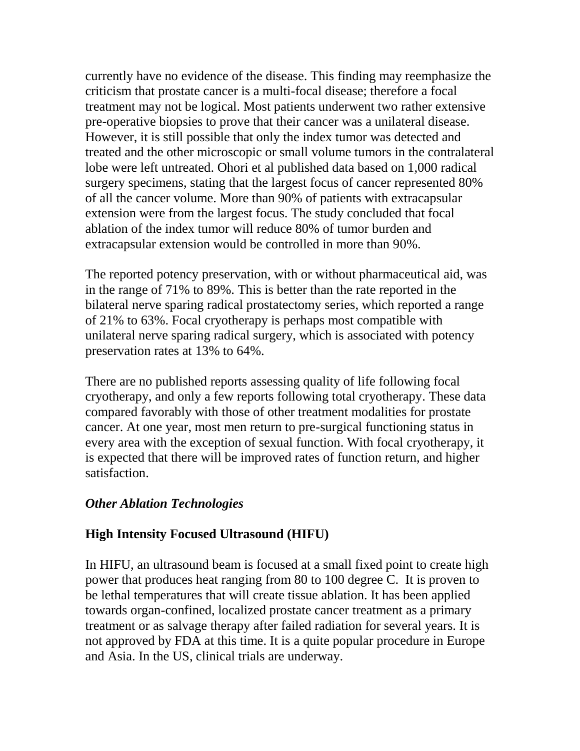currently have no evidence of the disease. This finding may reemphasize the criticism that prostate cancer is a multi-focal disease; therefore a focal treatment may not be logical. Most patients underwent two rather extensive pre-operative biopsies to prove that their cancer was a unilateral disease. However, it is still possible that only the index tumor was detected and treated and the other microscopic or small volume tumors in the contralateral lobe were left untreated. Ohori et al published data based on 1,000 radical surgery specimens, stating that the largest focus of cancer represented 80% of all the cancer volume. More than 90% of patients with extracapsular extension were from the largest focus. The study concluded that focal ablation of the index tumor will reduce 80% of tumor burden and extracapsular extension would be controlled in more than 90%.

The reported potency preservation, with or without pharmaceutical aid, was in the range of 71% to 89%. This is better than the rate reported in the bilateral nerve sparing radical prostatectomy series, which reported a range of 21% to 63%. Focal cryotherapy is perhaps most compatible with unilateral nerve sparing radical surgery, which is associated with potency preservation rates at 13% to 64%.

There are no published reports assessing quality of life following focal cryotherapy, and only a few reports following total cryotherapy. These data compared favorably with those of other treatment modalities for prostate cancer. At one year, most men return to pre-surgical functioning status in every area with the exception of sexual function. With focal cryotherapy, it is expected that there will be improved rates of function return, and higher satisfaction.

## *Other Ablation Technologies*

## **High Intensity Focused Ultrasound (HIFU)**

In HIFU, an ultrasound beam is focused at a small fixed point to create high power that produces heat ranging from 80 to 100 degree C. It is proven to be lethal temperatures that will create tissue ablation. It has been applied towards organ-confined, localized prostate cancer treatment as a primary treatment or as salvage therapy after failed radiation for several years. It is not approved by FDA at this time. It is a quite popular procedure in Europe and Asia. In the US, clinical trials are underway.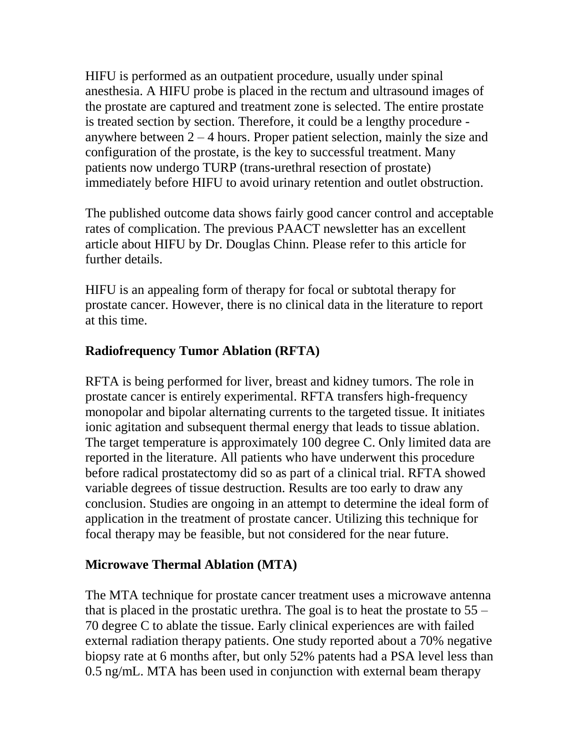HIFU is performed as an outpatient procedure, usually under spinal anesthesia. A HIFU probe is placed in the rectum and ultrasound images of the prostate are captured and treatment zone is selected. The entire prostate is treated section by section. Therefore, it could be a lengthy procedure anywhere between  $2 - 4$  hours. Proper patient selection, mainly the size and configuration of the prostate, is the key to successful treatment. Many patients now undergo TURP (trans-urethral resection of prostate) immediately before HIFU to avoid urinary retention and outlet obstruction.

The published outcome data shows fairly good cancer control and acceptable rates of complication. The previous PAACT newsletter has an excellent article about HIFU by Dr. Douglas Chinn. Please refer to this article for further details.

HIFU is an appealing form of therapy for focal or subtotal therapy for prostate cancer. However, there is no clinical data in the literature to report at this time.

## **Radiofrequency Tumor Ablation (RFTA)**

RFTA is being performed for liver, breast and kidney tumors. The role in prostate cancer is entirely experimental. RFTA transfers high-frequency monopolar and bipolar alternating currents to the targeted tissue. It initiates ionic agitation and subsequent thermal energy that leads to tissue ablation. The target temperature is approximately 100 degree C. Only limited data are reported in the literature. All patients who have underwent this procedure before radical prostatectomy did so as part of a clinical trial. RFTA showed variable degrees of tissue destruction. Results are too early to draw any conclusion. Studies are ongoing in an attempt to determine the ideal form of application in the treatment of prostate cancer. Utilizing this technique for focal therapy may be feasible, but not considered for the near future.

## **Microwave Thermal Ablation (MTA)**

The MTA technique for prostate cancer treatment uses a microwave antenna that is placed in the prostatic urethra. The goal is to heat the prostate to  $55 -$ 70 degree C to ablate the tissue. Early clinical experiences are with failed external radiation therapy patients. One study reported about a 70% negative biopsy rate at 6 months after, but only 52% patents had a PSA level less than 0.5 ng/mL. MTA has been used in conjunction with external beam therapy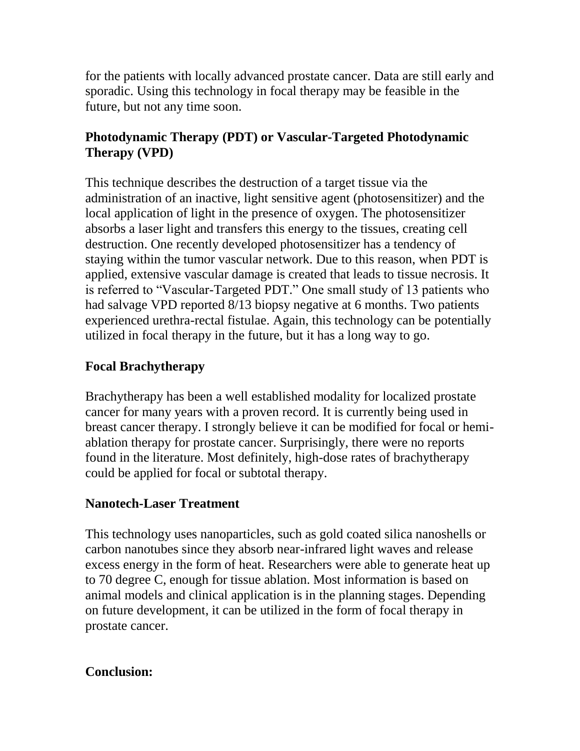for the patients with locally advanced prostate cancer. Data are still early and sporadic. Using this technology in focal therapy may be feasible in the future, but not any time soon.

## **Photodynamic Therapy (PDT) or Vascular-Targeted Photodynamic Therapy (VPD)**

This technique describes the destruction of a target tissue via the administration of an inactive, light sensitive agent (photosensitizer) and the local application of light in the presence of oxygen. The photosensitizer absorbs a laser light and transfers this energy to the tissues, creating cell destruction. One recently developed photosensitizer has a tendency of staying within the tumor vascular network. Due to this reason, when PDT is applied, extensive vascular damage is created that leads to tissue necrosis. It is referred to "Vascular-Targeted PDT." One small study of 13 patients who had salvage VPD reported 8/13 biopsy negative at 6 months. Two patients experienced urethra-rectal fistulae. Again, this technology can be potentially utilized in focal therapy in the future, but it has a long way to go.

## **Focal Brachytherapy**

Brachytherapy has been a well established modality for localized prostate cancer for many years with a proven record. It is currently being used in breast cancer therapy. I strongly believe it can be modified for focal or hemiablation therapy for prostate cancer. Surprisingly, there were no reports found in the literature. Most definitely, high-dose rates of brachytherapy could be applied for focal or subtotal therapy.

## **Nanotech-Laser Treatment**

This technology uses nanoparticles, such as gold coated silica nanoshells or carbon nanotubes since they absorb near-infrared light waves and release excess energy in the form of heat. Researchers were able to generate heat up to 70 degree C, enough for tissue ablation. Most information is based on animal models and clinical application is in the planning stages. Depending on future development, it can be utilized in the form of focal therapy in prostate cancer.

## **Conclusion:**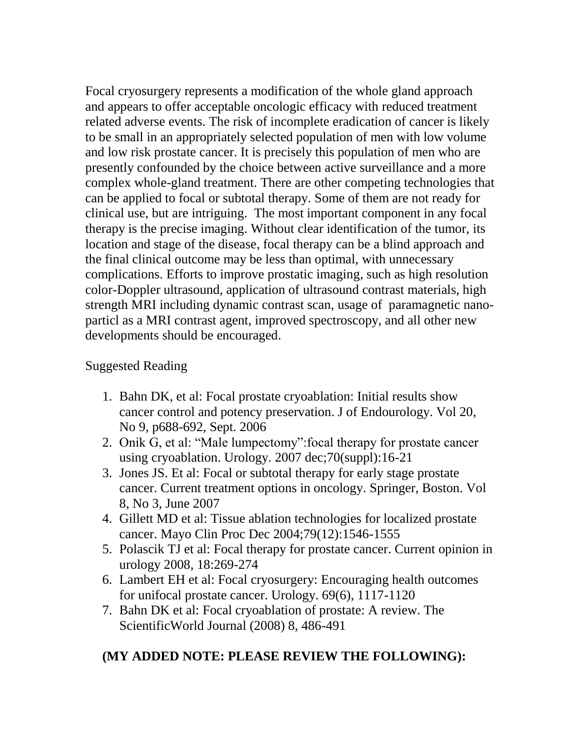Focal cryosurgery represents a modification of the whole gland approach and appears to offer acceptable oncologic efficacy with reduced treatment related adverse events. The risk of incomplete eradication of cancer is likely to be small in an appropriately selected population of men with low volume and low risk prostate cancer. It is precisely this population of men who are presently confounded by the choice between active surveillance and a more complex whole-gland treatment. There are other competing technologies that can be applied to focal or subtotal therapy. Some of them are not ready for clinical use, but are intriguing. The most important component in any focal therapy is the precise imaging. Without clear identification of the tumor, its location and stage of the disease, focal therapy can be a blind approach and the final clinical outcome may be less than optimal, with unnecessary complications. Efforts to improve prostatic imaging, such as high resolution color-Doppler ultrasound, application of ultrasound contrast materials, high strength MRI including dynamic contrast scan, usage of paramagnetic nanoparticl as a MRI contrast agent, improved spectroscopy, and all other new developments should be encouraged.

## Suggested Reading

- 1. Bahn DK, et al: Focal prostate cryoablation: Initial results show cancer control and potency preservation. J of Endourology. Vol 20, No 9, p688-692, Sept. 2006
- 2. Onik G, et al: "Male lumpectomy":focal therapy for prostate cancer using cryoablation. Urology. 2007 dec;70(suppl):16-21
- 3. Jones JS. Et al: Focal or subtotal therapy for early stage prostate cancer. Current treatment options in oncology. Springer, Boston. Vol 8, No 3, June 2007
- 4. Gillett MD et al: Tissue ablation technologies for localized prostate cancer. Mayo Clin Proc Dec 2004;79(12):1546-1555
- 5. Polascik TJ et al: Focal therapy for prostate cancer. Current opinion in urology 2008, 18:269-274
- 6. Lambert EH et al: Focal cryosurgery: Encouraging health outcomes for unifocal prostate cancer. Urology. 69(6), 1117-1120
- 7. Bahn DK et al: Focal cryoablation of prostate: A review. The ScientificWorld Journal (2008) 8, 486-491

# **(MY ADDED NOTE: PLEASE REVIEW THE FOLLOWING):**